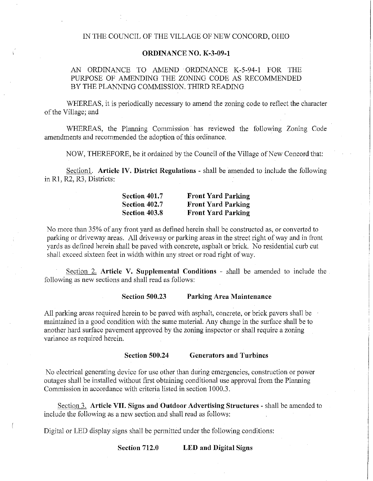## IN THE COUNCIL OF THE VILLAGE OF NEW CONCORD, OHIO

## **ORDINANCE NO. K-3-09-1**

## AN ORDINANCE TO AMEND ORDINANCE K-5-94-1 FOR THE PURPOSE OF AMENDING THE ZONING CODE AS RECOMMENDED BY THE PLANNING COMMISSION. THIRD READING

WHEREAS, it is periodically necessary to amend the zoning code to reflect the character of the Village; and

WHEREAS, the Planning Commission has reviewed the following Zoning Code amendments and recommended the adoption of this ordinance.

NOW, THEREFORE, be it ordained by the Council of the Village of New Concord that:

Section!. **Article IV. District Regulations** - shall be amended to include the following in RI, R2, R3, Districts:

| Section 401.7 | <b>Front Yard Parking</b> |
|---------------|---------------------------|
| Section 402.7 | <b>Front Yard Parking</b> |
| Section 403.8 | <b>Front Yard Parking</b> |

No more than 35% of any front yard as defined herein shall be constructed as, or converted to parking or driveway areas. All driveway or parking areas in the street right of way and in front yards as defined herein shall be paved with concrete, asphalt or brick. No residential curb cut shall exceed sixteen feet in width within any street or road right of way.

Section 2. **Article V. Supplemental Conditions** - shall be amended to include the following as new sections and shall read as follows:

**Section 500.23 Parking Area Maintenance** 

All parking areas required herein to be paved with asphalt, concrete, or brick pavers shall be maintained in a good condition with the same material. Any change in the surface shall be to another hard surface pavement approved by the zoning inspector or shall require a zoning variance as required herein.

## **Section 500.24 Generators and Turbines**

No electrical generating device for use other than during emergencies, construction or power outages shall be installed without first obtaining conditional use approval from the Planning Commission in accordance with criteria listed in section 1000.3.

Section 3. **Article VII. Signs and Outdoor Advertising Structures** - shall be amended to include the following as a new section and shall read as follows:

Digital or LED display signs shall be permitted under the following conditions:

**Section 712.0 LED and Digital Signs**